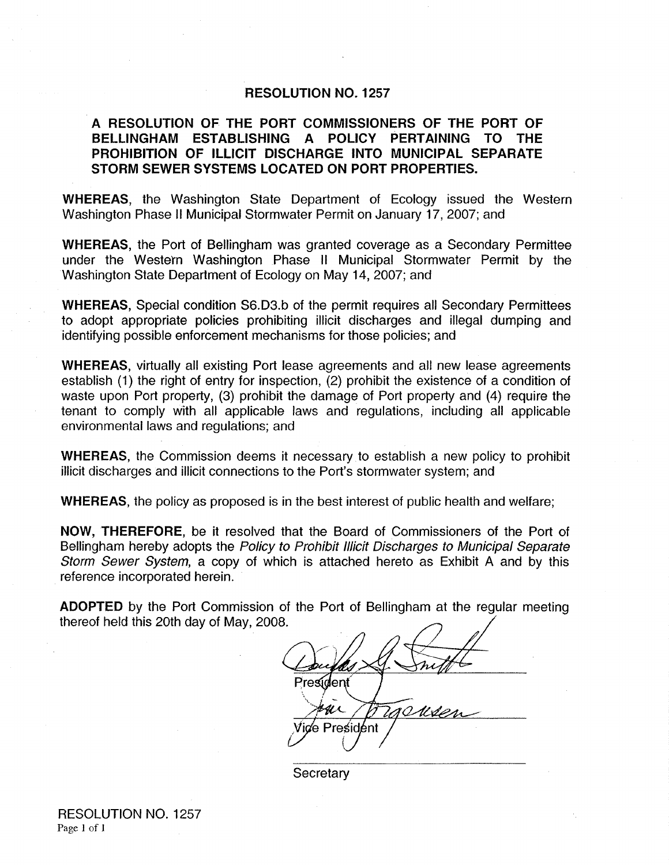#### **RESOLUTION NO. 1257**

## **A RESOLUTION OF THE PORT COMMISSIONERS OF THE PORT OF BELLINGHAM ESTABLISHING A POLICY PERTAINING TO THE PROHIBITION OF ILLICIT DISCHARGE INTO MUNICIPAL SEPARATE STORM SEWER SYSTEMS LOCATED ON PORT PROPERTIES.**

**WHEREAS,** the Washington State Department of Ecology issued the Western Washington Phase II Municipal Stormwater Permit on January 17, 2007; and

**WHEREAS,** the Port of Bellingham was granted coverage as a Secondary Permittee under the Western Washington Phase II Municipal Stormwater Permit by the Washington State Department of Ecology on May 14, 2007; and

**WHEREAS,** Special condition S6.D3.b of the permit requires all Secondary Permittees to adopt appropriate policies prohibiting illicit discharges and illegal dumping and identifying possible enforcement mechanisms for those policies; and

**WHEREAS,** virtually all existing Port lease agreements and all new lease agreements establish (1) the right of entry for inspection, (2) prohibit the existence of a condition of waste upon Port property, (3) prohibit the damage of Port property and (4) require the tenant to comply with all applicable laws and regulations, including all applicable environmental laws and regulations; and

**WHEREAS,** the Commission deems it necessary to establish a new policy to prohibit illicit discharges and illicit connections to the Port's stormwater system; and

**WHEREAS,** the policy as proposed is in the best interest of public health and welfare;

**NOW, THEREFORE,** be it resolved that the Board of Commissioners of the Port of Bellingham hereby adopts the Policy to Prohibit Illicit Discharges to Municipal Separate Storm Sewer System, a copy of which is attached hereto as Exhibit A and by this reference incorporated herein.

**ADOPTED** by the Port Commission of the Port of Bellingham at the regular meeting thereof held this 20th day of May, 2008.

President  $u\overline{v}$ ce President

**Secretary**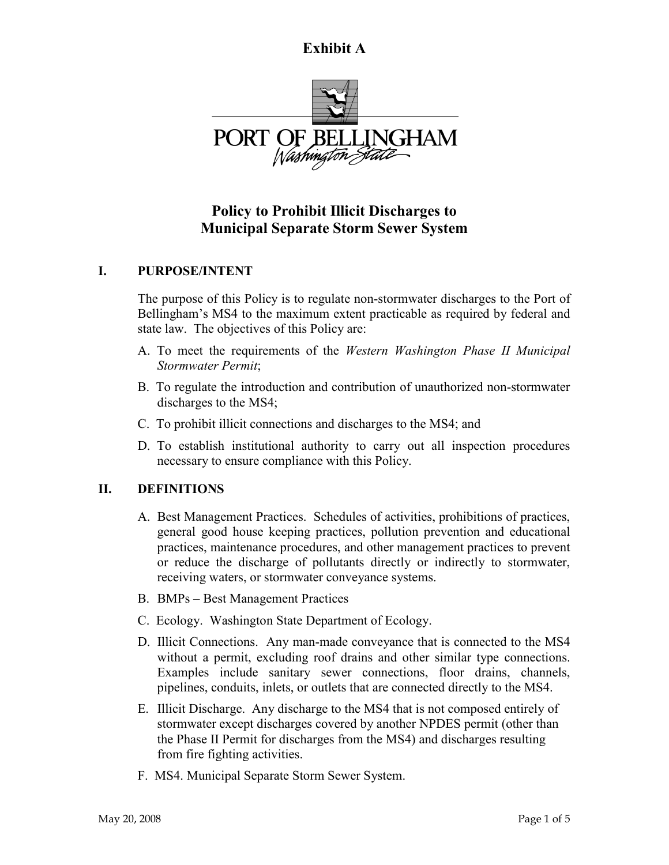## **Exhibit A**



# **Policy to Prohibit Illicit Discharges to Municipal Separate Storm Sewer System**

## **I. PURPOSE/INTENT**

The purpose of this Policy is to regulate non-stormwater discharges to the Port of Bellingham's MS4 to the maximum extent practicable as required by federal and state law. The objectives of this Policy are:

- A. To meet the requirements of the *Western Washington Phase II Municipal Stormwater Permit*;
- B. To regulate the introduction and contribution of unauthorized non-stormwater discharges to the MS4;
- C. To prohibit illicit connections and discharges to the MS4; and
- D. To establish institutional authority to carry out all inspection procedures necessary to ensure compliance with this Policy.

## **II. DEFINITIONS**

- A. Best Management Practices. Schedules of activities, prohibitions of practices, general good house keeping practices, pollution prevention and educational practices, maintenance procedures, and other management practices to prevent or reduce the discharge of pollutants directly or indirectly to stormwater, receiving waters, or stormwater conveyance systems.
- B. BMPs Best Management Practices
- C. Ecology. Washington State Department of Ecology.
- D. Illicit Connections. Any man-made conveyance that is connected to the MS4 without a permit, excluding roof drains and other similar type connections. Examples include sanitary sewer connections, floor drains, channels, pipelines, conduits, inlets, or outlets that are connected directly to the MS4.
- E. Illicit Discharge. Any discharge to the MS4 that is not composed entirely of stormwater except discharges covered by another NPDES permit (other than the Phase II Permit for discharges from the MS4) and discharges resulting from fire fighting activities.
- F. MS4. Municipal Separate Storm Sewer System.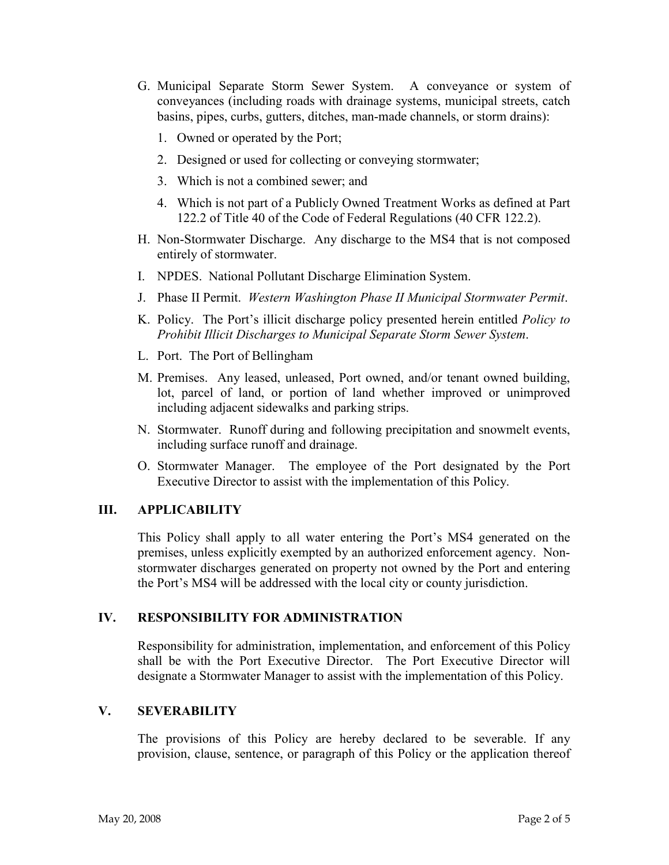- G. Municipal Separate Storm Sewer System. A conveyance or system of conveyances (including roads with drainage systems, municipal streets, catch basins, pipes, curbs, gutters, ditches, man-made channels, or storm drains):
	- 1. Owned or operated by the Port;
	- 2. Designed or used for collecting or conveying stormwater;
	- 3. Which is not a combined sewer; and
	- 4. Which is not part of a Publicly Owned Treatment Works as defined at Part 122.2 of Title 40 of the Code of Federal Regulations (40 CFR 122.2).
- H. Non-Stormwater Discharge. Any discharge to the MS4 that is not composed entirely of stormwater.
- I. NPDES. National Pollutant Discharge Elimination System.
- J. Phase II Permit. *Western Washington Phase II Municipal Stormwater Permit*.
- K. Policy. The Port's illicit discharge policy presented herein entitled *Policy to Prohibit Illicit Discharges to Municipal Separate Storm Sewer System*.
- L. Port. The Port of Bellingham
- M. Premises. Any leased, unleased, Port owned, and/or tenant owned building, lot, parcel of land, or portion of land whether improved or unimproved including adjacent sidewalks and parking strips.
- N. Stormwater. Runoff during and following precipitation and snowmelt events, including surface runoff and drainage.
- O. Stormwater Manager. The employee of the Port designated by the Port Executive Director to assist with the implementation of this Policy.

## **III. APPLICABILITY**

This Policy shall apply to all water entering the Port's MS4 generated on the premises, unless explicitly exempted by an authorized enforcement agency. Nonstormwater discharges generated on property not owned by the Port and entering the Port's MS4 will be addressed with the local city or county jurisdiction.

#### **IV. RESPONSIBILITY FOR ADMINISTRATION**

Responsibility for administration, implementation, and enforcement of this Policy shall be with the Port Executive Director. The Port Executive Director will designate a Stormwater Manager to assist with the implementation of this Policy.

#### **V. SEVERABILITY**

The provisions of this Policy are hereby declared to be severable. If any provision, clause, sentence, or paragraph of this Policy or the application thereof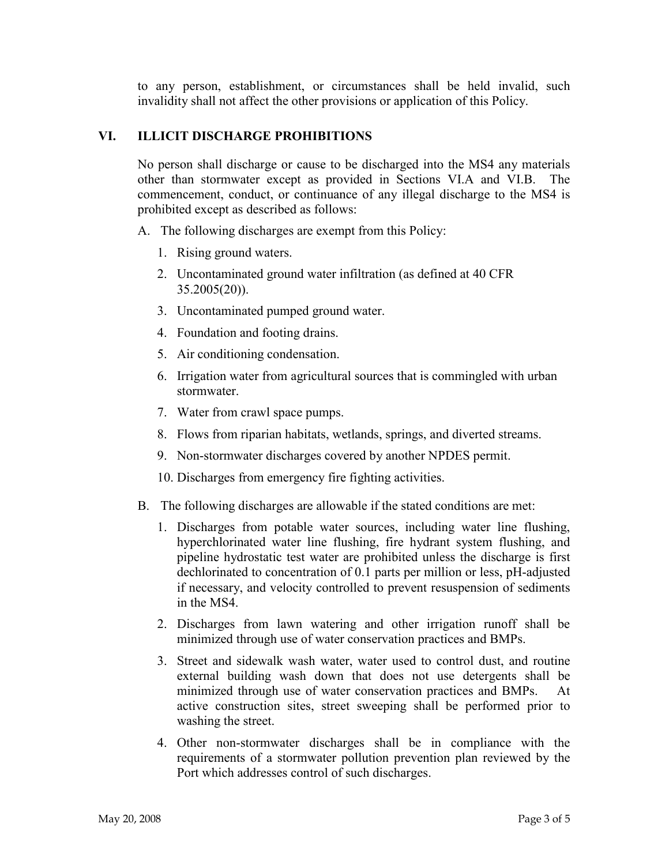to any person, establishment, or circumstances shall be held invalid, such invalidity shall not affect the other provisions or application of this Policy.

## **VI. ILLICIT DISCHARGE PROHIBITIONS**

No person shall discharge or cause to be discharged into the MS4 any materials other than stormwater except as provided in Sections VI.A and VI.B. The commencement, conduct, or continuance of any illegal discharge to the MS4 is prohibited except as described as follows:

- A. The following discharges are exempt from this Policy:
	- 1. Rising ground waters.
	- 2. Uncontaminated ground water infiltration (as defined at 40 CFR 35.2005(20)).
	- 3. Uncontaminated pumped ground water.
	- 4. Foundation and footing drains.
	- 5. Air conditioning condensation.
	- 6. Irrigation water from agricultural sources that is commingled with urban stormwater.
	- 7. Water from crawl space pumps.
	- 8. Flows from riparian habitats, wetlands, springs, and diverted streams.
	- 9. Non-stormwater discharges covered by another NPDES permit.
	- 10. Discharges from emergency fire fighting activities.
- B. The following discharges are allowable if the stated conditions are met:
	- 1. Discharges from potable water sources, including water line flushing, hyperchlorinated water line flushing, fire hydrant system flushing, and pipeline hydrostatic test water are prohibited unless the discharge is first dechlorinated to concentration of 0.1 parts per million or less, pH-adjusted if necessary, and velocity controlled to prevent resuspension of sediments in the MS4.
	- 2. Discharges from lawn watering and other irrigation runoff shall be minimized through use of water conservation practices and BMPs.
	- 3. Street and sidewalk wash water, water used to control dust, and routine external building wash down that does not use detergents shall be minimized through use of water conservation practices and BMPs. At active construction sites, street sweeping shall be performed prior to washing the street.
	- 4. Other non-stormwater discharges shall be in compliance with the requirements of a stormwater pollution prevention plan reviewed by the Port which addresses control of such discharges.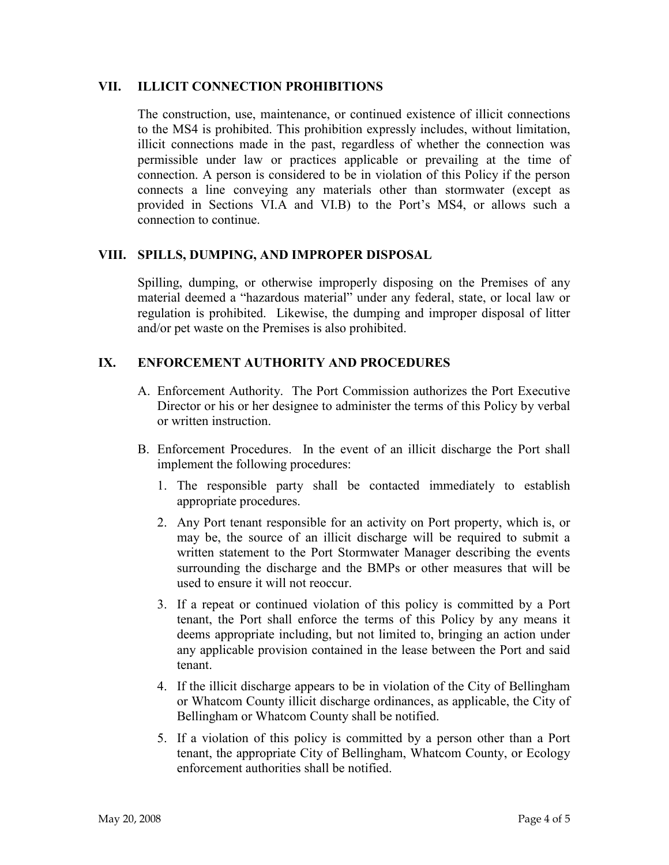#### **VII. ILLICIT CONNECTION PROHIBITIONS**

The construction, use, maintenance, or continued existence of illicit connections to the MS4 is prohibited. This prohibition expressly includes, without limitation, illicit connections made in the past, regardless of whether the connection was permissible under law or practices applicable or prevailing at the time of connection. A person is considered to be in violation of this Policy if the person connects a line conveying any materials other than stormwater (except as provided in Sections VI.A and VI.B) to the Port's MS4, or allows such a connection to continue.

#### **VIII. SPILLS, DUMPING, AND IMPROPER DISPOSAL**

Spilling, dumping, or otherwise improperly disposing on the Premises of any material deemed a "hazardous material" under any federal, state, or local law or regulation is prohibited. Likewise, the dumping and improper disposal of litter and/or pet waste on the Premises is also prohibited.

#### **IX. ENFORCEMENT AUTHORITY AND PROCEDURES**

- A. Enforcement Authority. The Port Commission authorizes the Port Executive Director or his or her designee to administer the terms of this Policy by verbal or written instruction.
- B. Enforcement Procedures. In the event of an illicit discharge the Port shall implement the following procedures:
	- 1. The responsible party shall be contacted immediately to establish appropriate procedures.
	- 2. Any Port tenant responsible for an activity on Port property, which is, or may be, the source of an illicit discharge will be required to submit a written statement to the Port Stormwater Manager describing the events surrounding the discharge and the BMPs or other measures that will be used to ensure it will not reoccur.
	- 3. If a repeat or continued violation of this policy is committed by a Port tenant, the Port shall enforce the terms of this Policy by any means it deems appropriate including, but not limited to, bringing an action under any applicable provision contained in the lease between the Port and said tenant.
	- 4. If the illicit discharge appears to be in violation of the City of Bellingham or Whatcom County illicit discharge ordinances, as applicable, the City of Bellingham or Whatcom County shall be notified.
	- 5. If a violation of this policy is committed by a person other than a Port tenant, the appropriate City of Bellingham, Whatcom County, or Ecology enforcement authorities shall be notified.